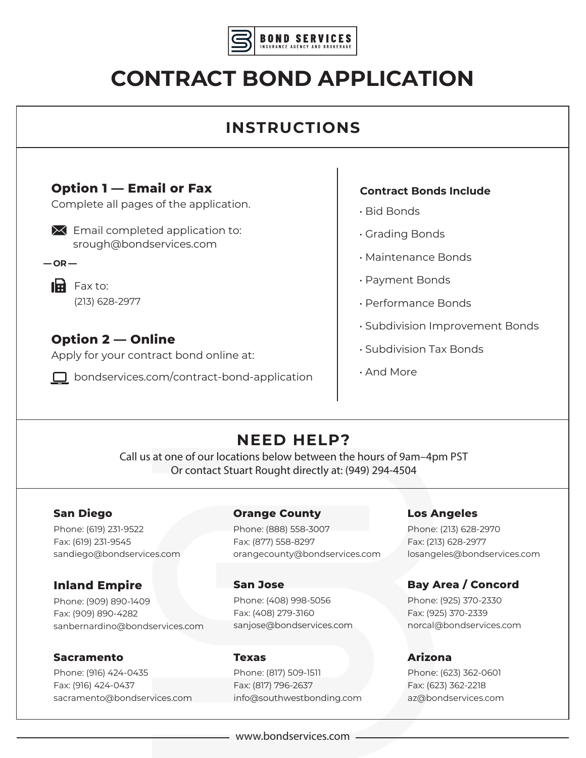

# **CONTRACT BOND APPLICATION**

# **INSTRUCTIONS**

## **Option 1 — Email or Fax**

Complete all pages of the application.

- $\mathbf{\times}$  Email completed application to: srough@bondservices.com
- $-$ **OR** $-$

 $\mathbf{H}$  Fax to: (213) 628-2977

# **Option 2 — Online**

Apply for your contract bond online at:

□ bondservices.com/contract-bond-application

#### **Contract Bonds Include**

- Bid Bonds
- Grading Bonds
- Maintenance Bonds
- Payment Bonds
- Performance Bonds
- Subdivision Improvement Bonds
- Subdivision Tax Bonds
- And More

# **NEED HELP?**

Call us at one of our locations below between the hours of 9am–4pm PST Or contact Stuart Rought directly at: (949) 294-4504

#### **San Diego**

Phone: (619) 231-9522 Fax: (619) 231-9545 sandiego@bondservices.com

### **Inland Empire**

Phone: (909) 890-1409 Fax: (909) 890-4282 sanbernardino@bondservices.com

#### **Sacramento**

Phone: (916) 424-0435 Fax: (916) 424-0437 sacramento@bondservices.com

#### **Orange County**

Phone: (888) 558-3007 Fax: (877) 558-8297 orangecounty@bondservices.com

#### **San Jose**

Phone: (408) 998-5056 Fax: (408) 279-3160 sanjose@bondservices.com

#### **Texas**

Phone: (817) 509-1511 Fax: (817) 796-2637 info@southwestbonding.com

#### **Los Angeles**

Phone: (213) 628-2970 Fax: (213) 628-2977 losangeles@bondservices.com

## **Bay Area / Concord**

Phone: (925) 370-2330 Fax: (925) 370-2339 norcal@bondservices.com

#### **Arizona**

Phone: (623) 362-0601 Fax: (623) 362-2218 az@bondservices.com

www.bondservices.com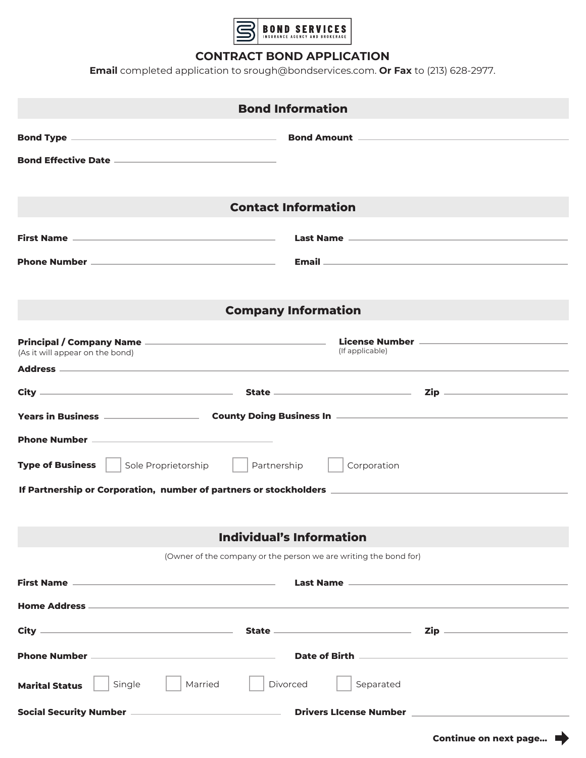

#### **CONTRACT BOND APPLICATION**

**Email** completed application to srough@bondservices.com. **Or Fax** to (213) 628-2977.

| <b>Bond Information</b>                                                                              |                                                                                                                |  |  |
|------------------------------------------------------------------------------------------------------|----------------------------------------------------------------------------------------------------------------|--|--|
|                                                                                                      |                                                                                                                |  |  |
|                                                                                                      |                                                                                                                |  |  |
|                                                                                                      |                                                                                                                |  |  |
| <b>Contact Information</b>                                                                           |                                                                                                                |  |  |
|                                                                                                      |                                                                                                                |  |  |
|                                                                                                      | Email 2008 - 2009 - 2010 - 2010 - 2010 - 2010 - 2010 - 2010 - 2010 - 2010 - 2010 - 2010 - 2010 - 2010 - 2010 - |  |  |
|                                                                                                      |                                                                                                                |  |  |
| <b>Company Information</b>                                                                           |                                                                                                                |  |  |
|                                                                                                      |                                                                                                                |  |  |
| (As it will appear on the bond)                                                                      | (If applicable)                                                                                                |  |  |
|                                                                                                      |                                                                                                                |  |  |
|                                                                                                      |                                                                                                                |  |  |
| Phone Number <u>___________________________________</u>                                              |                                                                                                                |  |  |
| <b>Type of Business</b><br>Sole Proprietorship<br>Partnership<br>Corporation                         |                                                                                                                |  |  |
| If Partnership or Corporation,number of partners or stockholders ___________________________________ |                                                                                                                |  |  |
|                                                                                                      |                                                                                                                |  |  |
| <b>Individual's Information</b>                                                                      |                                                                                                                |  |  |
| (Owner of the company or the person we are writing the bond for)                                     |                                                                                                                |  |  |
|                                                                                                      |                                                                                                                |  |  |
|                                                                                                      |                                                                                                                |  |  |
|                                                                                                      |                                                                                                                |  |  |
|                                                                                                      |                                                                                                                |  |  |
| Single<br>Married<br><b>Marital Status</b>                                                           | Divorced<br>Separated                                                                                          |  |  |
|                                                                                                      | Social Security Number ———————————————————— Drivers LIcense Number ——————————————                              |  |  |